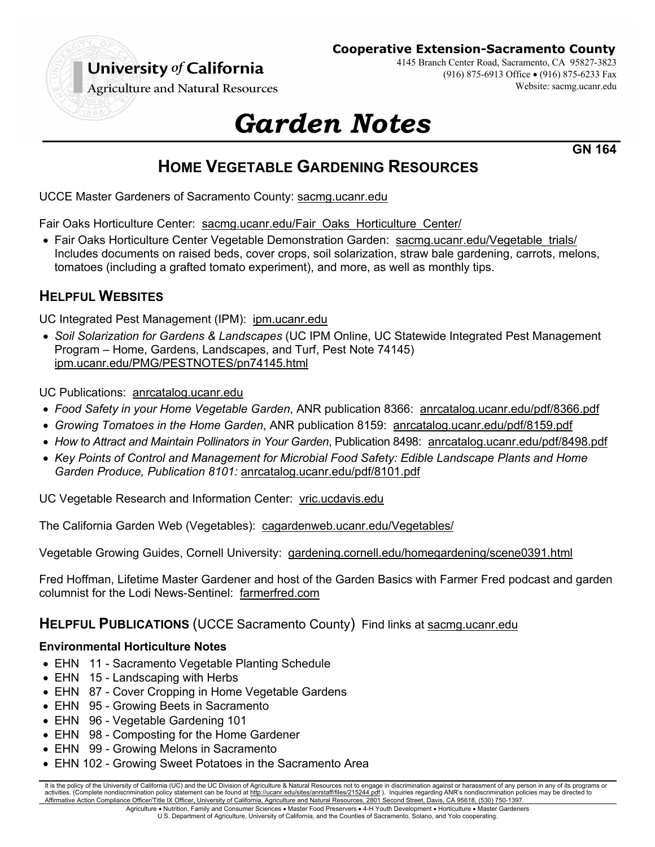

**Cooperative Extension-Sacramento County**

4145 Branch Center Road, Sacramento, CA 95827-3823 (916) 875-6913 Office • (916) 875-6233 Fax Website: sacmg.ucanr.edu

**Agriculture and Natural Resources** 

# *Garden Notes*

**GN 164**

# **HOME VEGETABLE GARDENING RESOURCES**

UCCE Master Gardeners of Sacramento County: sacmg.ucanr.edu

Fair Oaks Horticulture Center: sacmg.ucanr.edu/Fair\_Oaks\_Horticulture\_Center/

• Fair Oaks Horticulture Center Vegetable Demonstration Garden: sacmg.ucanr.edu/Vegetable\_trials/ Includes documents on raised beds, cover crops, soil solarization, straw bale gardening, carrots, melons, tomatoes (including a grafted tomato experiment), and more, as well as monthly tips.

# **HELPFUL WEBSITES**

UC Integrated Pest Management (IPM): ipm.ucanr.edu

• *Soil Solarization for Gardens & Landscapes* (UC IPM Online, UC Statewide Integrated Pest Management Program – Home, Gardens, Landscapes, and Turf, Pest Note 74145) ipm.ucanr.edu/PMG/PESTNOTES/pn74145.html

UC Publications: anrcatalog.ucanr.edu

- *Food Safety in your Home Vegetable Garden*, ANR publication 8366: anrcatalog.ucanr.edu/pdf/8366.pdf
- *Growing Tomatoes in the Home Garden*, ANR publication 8159: anrcatalog.ucanr.edu/pdf/8159.pdf
- *How to Attract and Maintain Pollinators in Your Garden*, Publication 8498: anrcatalog.ucanr.edu/pdf/8498.pdf
- *Key Points of Control and Management for Microbial Food Safety: Edible Landscape Plants and Home Garden Produce, Publication 8101:* anrcatalog.ucanr.edu/pdf/8101.pdf

UC Vegetable Research and Information Center: vric.ucdavis.edu

The California Garden Web (Vegetables): cagardenweb.ucanr.edu/Vegetables/

Vegetable Growing Guides, Cornell University: gardening.cornell.edu/homegardening/scene0391.html

Fred Hoffman, Lifetime Master Gardener and host of the Garden Basics with Farmer Fred podcast and garden columnist for the Lodi News-Sentinel: farmerfred.com

## **HELPFUL PUBLICATIONS** (UCCE Sacramento County)Find links at sacmg.ucanr.edu

## **Environmental Horticulture Notes**

- EHN 11 Sacramento Vegetable Planting Schedule
- EHN 15 Landscaping with Herbs
- EHN 87 Cover Cropping in Home Vegetable Gardens
- EHN 95 Growing Beets in Sacramento
- EHN 96 Vegetable Gardening 101
- EHN 98 Composting for the Home Gardener
- EHN 99 Growing Melons in Sacramento
- EHN 102 Growing Sweet Potatoes in the Sacramento Area

It is the policy of the University of California (UC) and the UC Division of Agriculture & Natural Resources not to engage in discrimination against or harassment of any person in any of its programs or activities. (Complete nondiscrimination policy statement can be found at http://ucanr.edu/sites/anrstaff/files/215244.pdf ). Inquiries regarding ANR's nondiscrimination policies may be directed to Affirmative Action Compliance Officer/Title IX Officer, University of California, Agriculture and Natural Resources, 2801 Second Street, Davis, CA 95618, (530) 750-1397. Agriculture • Nutrition, Family and Consumer Sciences • Master Food Preservers • 4-H Youth Development • Horticulture • Master Gardeners